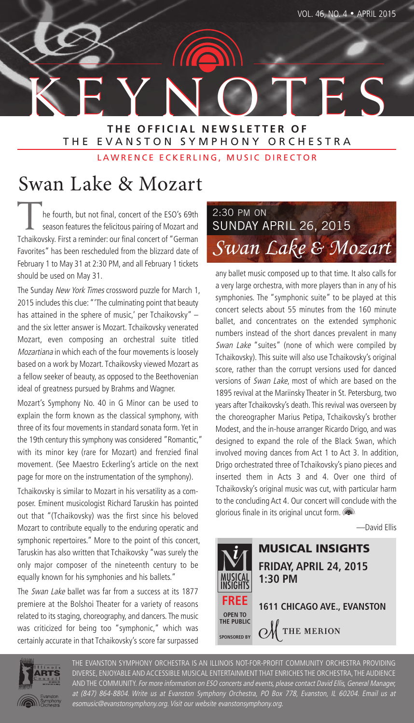KEYNOTES KEYNOTES **THE OFFICIAL NEWSLETTER OF** THE EVANSTON SYMPHONY ORCHESTRA

LAWRENCE ECKERLING, MUSIC DIRECTOR

# Swan Lake & Mozart

he fourth, but not final, concert of the ESO's 69th season features the felicitous pairing of Mozart and Tchaikovsky. First a reminder: our final concert of "German Favorites" has been rescheduled from the blizzard date of February 1 to May 31 at 2:30 PM, and all February 1 tickets should be used on May 31.

The Sunday New York Times crossword puzzle for March 1, 2015 includes this clue: "'The culminating point that beauty has attained in the sphere of music,' per Tchaikovsky" – and the six letter answer is Mozart. Tchaikovsky venerated Mozart, even composing an orchestral suite titled Mozartiana in which each of the four movements is loosely based on a work by Mozart. Tchaikovsky viewed Mozart as a fellow seeker of beauty, as opposed to the Beethovenian ideal of greatness pursued by Brahms and Wagner.

Mozart's Symphony No. 40 in G Minor can be used to explain the form known as the classical symphony, with three of its four movements in standard sonata form. Yet in the 19th century this symphony was considered "Romantic," with its minor key (rare for Mozart) and frenzied final movement. (See Maestro Eckerling's article on the next page for more on the instrumentation of the symphony).

Tchaikovsky is similar to Mozart in his versatility as a composer. Eminent musicologist Richard Taruskin has pointed out that "(Tchaikovsky) was the first since his beloved Mozart to contribute equally to the enduring operatic and symphonic repertoires." More to the point of this concert, Taruskin has also written that Tchaikovsky "was surely the only major composer of the nineteenth century to be equally known for his symphonies and his ballets."

The Swan Lake ballet was far from a success at its 1877 premiere at the Bolshoi Theater for a variety of reasons related to its staging, choreography, and dancers. The music was criticized for being too "symphonic," which was certainly accurate in that Tchaikovsky's score far surpassed



any ballet music composed up to that time. It also calls for a very large orchestra, with more players than in any of his symphonies. The "symphonic suite" to be played at this concert selects about 55 minutes from the 160 minute ballet, and concentrates on the extended symphonic numbers instead of the short dances prevalent in many Swan Lake "suites" (none of which were compiled by Tchaikovsky). This suite will also use Tchaikovsky's original score, rather than the corrupt versions used for danced versions of Swan Lake, most of which are based on the 1895 revival at the Mariinsky Theater in St. Petersburg, two years after Tchaikovsky's death. This revival was overseen by the choreographer Marius Petipa, Tchaikovsky's brother Modest, and the in-house arranger Ricardo Drigo, and was designed to expand the role of the Black Swan, which involved moving dances from Act 1 to Act 3. In addition, Drigo orchestrated three of Tchaikovsky's piano pieces and inserted them in Acts 3 and 4. Over one third of Tchaikovsky's original music was cut, with particular harm to the concluding Act 4. Our concert will conclude with the glorious finale in its original uncut form.

—David Ellis





THE EVANSTON SYMPHONY ORCHESTRA IS AN ILLINOIS NOT-FOR-PROFIT COMMUNITY ORCHESTRA PROVIDING DIVERSE, ENJOYABLE AND ACCESSIBLE MUSICAL ENTERTAINMENT THAT ENRICHES THE ORCHESTRA, THE AUDIENCE AND THE COMMUNITY. For more information on ESO concerts and events, please contact David Ellis, General Manager, at (847) 864-8804. Write us at Evanston Symphony Orchestra, PO Box 778, Evanston, IL 60204. Email us at esomusic@evanstonsymphony.org. Visit our website evanstonsymphony.org.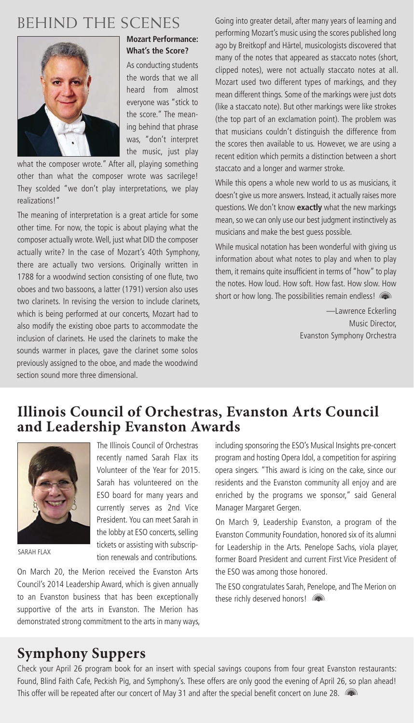## BEHIND THE SCENES



#### **Mozart Performance: What's the Score?**

As conducting students the words that we all heard from almost everyone was "stick to the score." The meaning behind that phrase was, "don't interpret the music, just play

what the composer wrote." After all, playing something other than what the composer wrote was sacrilege! They scolded "we don't play interpretations, we play realizations!"

The meaning of interpretation is a great article for some other time. For now, the topic is about playing what the composer actually wrote. Well, just what DID the composer actually write? In the case of Mozart's 40th Symphony, there are actually two versions. Originally written in 1788 for a woodwind section consisting of one flute, two oboes and two bassoons, a latter (1791) version also uses two clarinets. In revising the version to include clarinets, which is being performed at our concerts, Mozart had to also modify the existing oboe parts to accommodate the inclusion of clarinets. He used the clarinets to make the sounds warmer in places, gave the clarinet some solos previously assigned to the oboe, and made the woodwind section sound more three dimensional.

Going into greater detail, after many years of learning and performing Mozart's music using the scores published long ago by Breitkopf and Härtel, musicologists discovered that many of the notes that appeared as staccato notes (short, clipped notes), were not actually staccato notes at all. Mozart used two different types of markings, and they mean different things. Some of the markings were just dots (like a staccato note). But other markings were like strokes (the top part of an exclamation point). The problem was that musicians couldn't distinguish the difference from the scores then available to us. However, we are using a recent edition which permits a distinction between a short staccato and a longer and warmer stroke.

While this opens a whole new world to us as musicians, it doesn't give us more answers. Instead, it actually raises more questions. We don't know **exactly** what the new markings mean, so we can only use our best judgment instinctively as musicians and make the best guess possible.

While musical notation has been wonderful with giving us information about what notes to play and when to play them, it remains quite insufficient in terms of "how" to play the notes. How loud. How soft. How fast. How slow. How short or how long. The possibilities remain endless!

> —Lawrence Eckerling Music Director, Evanston Symphony Orchestra

### **Illinois Council of Orchestras, Evanston Arts Council and Leadership Evanston Awards**



SARAH FLAX

The Illinois Council of Orchestras recently named Sarah Flax its Volunteer of the Year for 2015. Sarah has volunteered on the ESO board for many years and currently serves as 2nd Vice President. You can meet Sarah in the lobby at ESO concerts, selling tickets or assisting with subscription renewals and contributions.

On March 20, the Merion received the Evanston Arts Council's 2014 Leadership Award, which is given annually to an Evanston business that has been exceptionally supportive of the arts in Evanston. The Merion has demonstrated strong commitment to the arts in many ways, including sponsoring the ESO's Musical Insights pre-concert program and hosting Opera Idol, a competition for aspiring opera singers. "This award is icing on the cake, since our residents and the Evanston community all enjoy and are enriched by the programs we sponsor," said General Manager Margaret Gergen.

On March 9, Leadership Evanston, a program of the Evanston Community Foundation, honored six of its alumni for Leadership in the Arts. Penelope Sachs, viola player, former Board President and current First Vice President of the ESO was among those honored.

The ESO congratulates Sarah, Penelope, and The Merion on these richly deserved honors!

## **Symphony Suppers**

Check your April 26 program book for an insert with special savings coupons from four great Evanston restaurants: Found, Blind Faith Cafe, Peckish Pig, and Symphony's. These offers are only good the evening of April 26, so plan ahead! This offer will be repeated after our concert of May 31 and after the special benefit concert on June 28.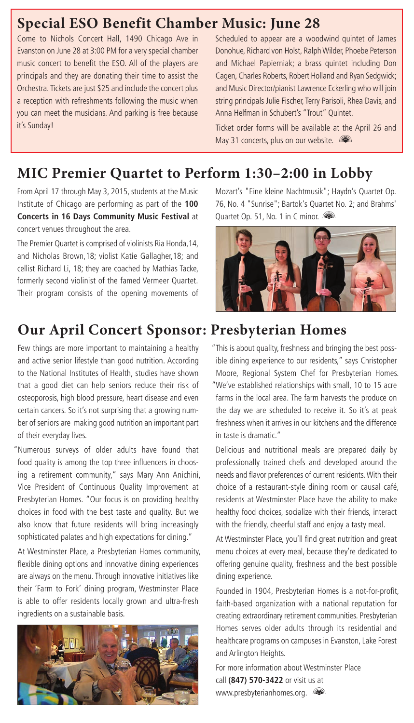### **Special ESO Benefit Chamber Music: June 28**

Come to Nichols Concert Hall, 1490 Chicago Ave in Evanston on June 28 at 3:00 PM for a very special chamber music concert to benefit the ESO. All of the players are principals and they are donating their time to assist the Orchestra. Tickets are just \$25 and include the concert plus a reception with refreshments following the music when you can meet the musicians. And parking is free because it's Sunday!

Scheduled to appear are a woodwind quintet of James Donohue, Richard von Holst, Ralph Wilder, Phoebe Peterson and Michael Papierniak; a brass quintet including Don Cagen, Charles Roberts, Robert Holland and Ryan Sedgwick; and Music Director/pianist Lawrence Eckerling who will join string principals Julie Fischer, Terry Parisoli, Rhea Davis, and Anna Helfman in Schubert's "Trout" Quintet.

Ticket order forms will be available at the April 26 and May 31 concerts, plus on our website.

### **MIC Premier Quartet to Perform 1:30–2:00 in Lobby**

From April 17 through May 3, 2015, students at the Music Institute of Chicago are performing as part of the **100 Concerts in 16 Days Community Music Festival** at concert venues throughout the area.

The Premier Quartet is comprised of violinists Ria Honda,14, and Nicholas Brown,18; violist Katie Gallagher,18; and cellist Richard Li, 18; they are coached by Mathias Tacke, formerly second violinist of the famed Vermeer Quartet. Their program consists of the opening movements of

## **Our April Concert Sponsor: Presbyterian Homes**

Few things are more important to maintaining a healthy and active senior lifestyle than good nutrition. According to the National Institutes of Health, studies have shown that a good diet can help seniors reduce their risk of osteoporosis, high blood pressure, heart disease and even certain cancers. So it's not surprising that a growing number of seniors are making good nutrition an important part of their everyday lives.

"Numerous surveys of older adults have found that food quality is among the top three influencers in choosing a retirement community," says Mary Ann Anichini, Vice President of Continuous Quality Improvement at Presbyterian Homes. "Our focus is on providing healthy choices in food with the best taste and quality. But we also know that future residents will bring increasingly sophisticated palates and high expectations for dining."

At Westminster Place, a Presbyterian Homes community, flexible dining options and innovative dining experiences are always on the menu. Through innovative initiatives like their 'Farm to Fork' dining program, Westminster Place is able to offer residents locally grown and ultra-fresh ingredients on a sustainable basis.



Mozart's "Eine kleine Nachtmusik"; Haydn's Quartet Op. 76, No. 4 "Sunrise"; Bartok's Quartet No. 2; and Brahms' Quartet Op. 51, No. 1 in C minor.



- "This is about quality, freshness and bringing the best possible dining experience to our residents," says Christopher Moore, Regional System Chef for Presbyterian Homes.
- "We've established relationships with small, 10 to 15 acre farms in the local area. The farm harvests the produce on the day we are scheduled to receive it. So it's at peak freshness when it arrives in our kitchens and the difference in taste is dramatic."

Delicious and nutritional meals are prepared daily by professionally trained chefs and developed around the needs and flavor preferences of current residents. With their choice of a restaurant-style dining room or causal café, residents at Westminster Place have the ability to make healthy food choices, socialize with their friends, interact with the friendly, cheerful staff and enjoy a tasty meal.

At Westminster Place, you'll find great nutrition and great menu choices at every meal, because they're dedicated to offering genuine quality, freshness and the best possible dining experience.

Founded in 1904, Presbyterian Homes is a not-for-profit, faith-based organization with a national reputation for creating extraordinary retirement communities. Presbyterian Homes serves older adults through its residential and healthcare programs on campuses in Evanston, Lake Forest and Arlington Heights.

For more information about Westminster Place call **(847) 570-3422** or visit us at www.presbyterianhomes.org. (a)